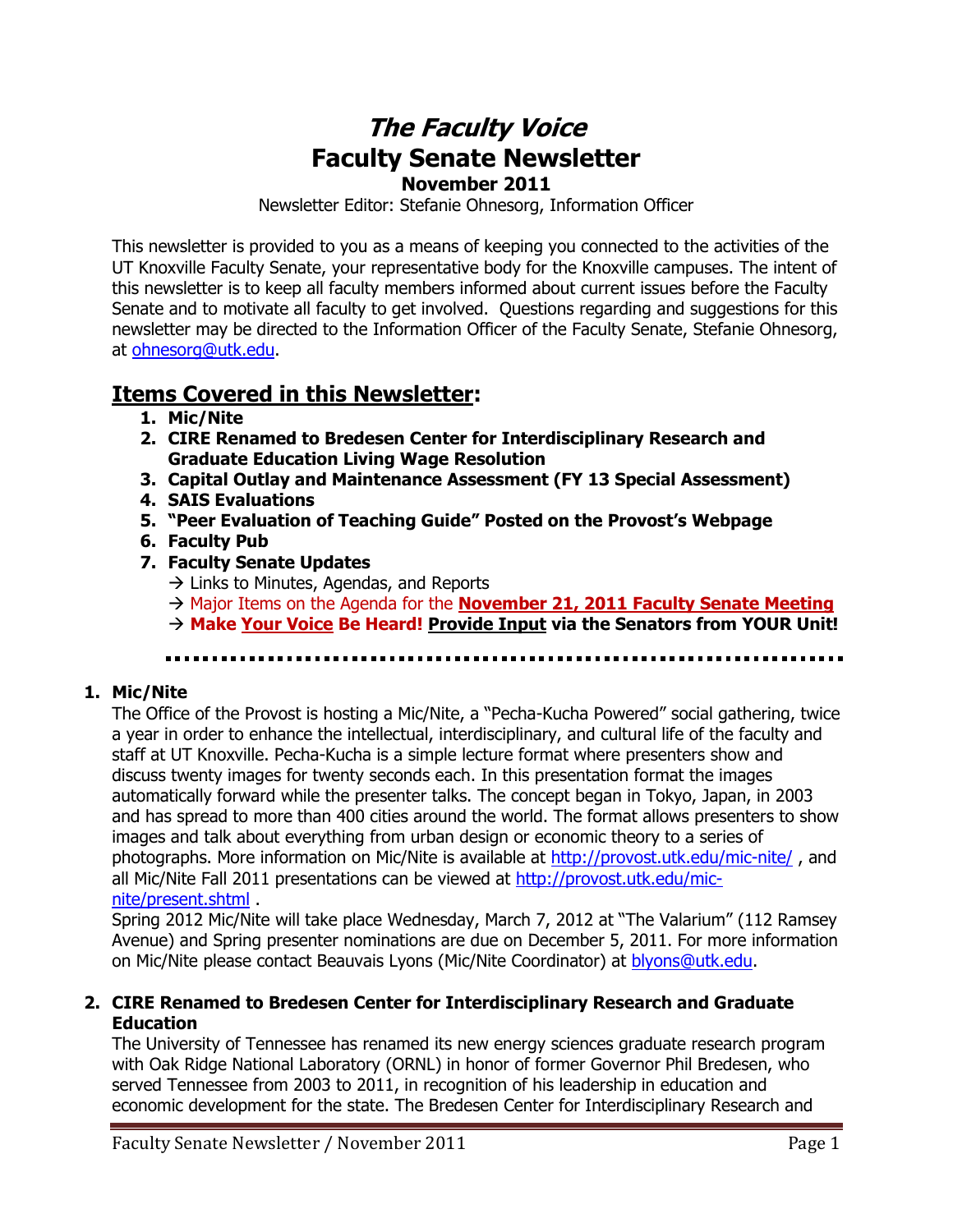## **The Faculty Voice Faculty Senate Newsletter November 2011**

Newsletter Editor: Stefanie Ohnesorg, Information Officer

This newsletter is provided to you as a means of keeping you connected to the activities of the UT Knoxville Faculty Senate, your representative body for the Knoxville campuses. The intent of this newsletter is to keep all faculty members informed about current issues before the Faculty Senate and to motivate all faculty to get involved. Questions regarding and suggestions for this newsletter may be directed to the Information Officer of the Faculty Senate, Stefanie Ohnesorg, at [ohnesorg@utk.edu.](mailto:ohnesorg@utk.edu)

# **Items Covered in this Newsletter:**

- **1. Mic/Nite**
- **2. CIRE Renamed to Bredesen Center for Interdisciplinary Research and Graduate Education Living Wage Resolution**
- **3. Capital Outlay and Maintenance Assessment (FY 13 Special Assessment)**
- **4. SAIS Evaluations**
- **5. "Peer Evaluation of Teaching Guide" Posted on the Provost's Webpage**
- **6. Faculty Pub**
- **7. Faculty Senate Updates** 
	- $\rightarrow$  Links to Minutes, Agendas, and Reports
	- $\rightarrow$  Major Items on the Agenda for the **November 21, 2011 Faculty Senate Meeting**
	- **Make Your Voice Be Heard! Provide Input via the Senators from YOUR Unit!**

## **1. Mic/Nite**

The Office of the Provost is hosting a Mic/Nite, a "Pecha-Kucha Powered" social gathering, twice a year in order to enhance the intellectual, interdisciplinary, and cultural life of the faculty and staff at UT Knoxville. Pecha-Kucha is a simple lecture format where presenters show and discuss twenty images for twenty seconds each. In this presentation format the images automatically forward while the presenter talks. The concept began in Tokyo, Japan, in 2003 and has spread to more than 400 cities around the world. The format allows presenters to show images and talk about everything from urban design or economic theory to a series of photographs. More information on Mic/Nite is available at<http://provost.utk.edu/mic-nite/> , and all Mic/Nite Fall 2011 presentations can be viewed at [http://provost.utk.edu/mic](http://provost.utk.edu/mic-nite/present.shtml)[nite/present.shtml](http://provost.utk.edu/mic-nite/present.shtml) .

Spring 2012 Mic/Nite will take place Wednesday, March 7, 2012 at "The Valarium" (112 Ramsey Avenue) and Spring presenter nominations are due on December 5, 2011. For more information on Mic/Nite please contact Beauvais Lyons (Mic/Nite Coordinator) at [blyons@utk.edu.](mailto:blyons@utk.edu)

## **2. CIRE Renamed to Bredesen Center for Interdisciplinary Research and Graduate Education**

The University of Tennessee has renamed its new energy sciences graduate research program with Oak Ridge National Laboratory (ORNL) in honor of former Governor Phil Bredesen, who served Tennessee from 2003 to 2011, in recognition of his leadership in education and economic development for the state. The Bredesen Center for Interdisciplinary Research and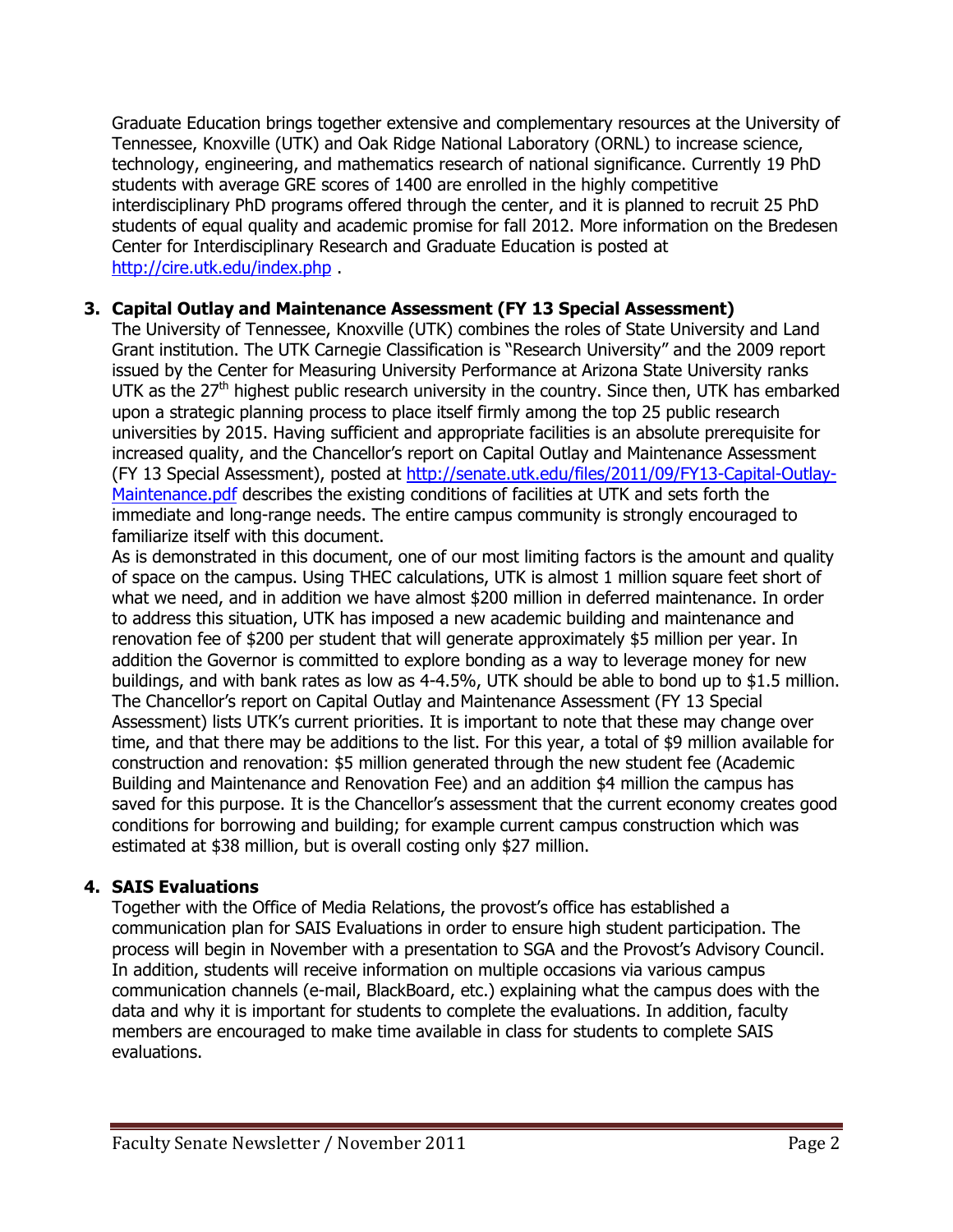Graduate Education brings together extensive and complementary resources at the University of Tennessee, Knoxville (UTK) and Oak Ridge National Laboratory (ORNL) to increase science, technology, engineering, and mathematics research of national significance. Currently 19 PhD students with average GRE scores of 1400 are enrolled in the highly competitive interdisciplinary PhD programs offered through the center, and it is planned to recruit 25 PhD students of equal quality and academic promise for fall 2012. More information on the Bredesen Center for Interdisciplinary Research and Graduate Education is posted at <http://cire.utk.edu/index.php> .

## **3. Capital Outlay and Maintenance Assessment (FY 13 Special Assessment)**

The University of Tennessee, Knoxville (UTK) combines the roles of State University and Land Grant institution. The UTK Carnegie Classification is "Research University" and the 2009 report issued by the Center for Measuring University Performance at Arizona State University ranks UTK as the  $27<sup>th</sup>$  highest public research university in the country. Since then, UTK has embarked upon a strategic planning process to place itself firmly among the top 25 public research universities by 2015. Having sufficient and appropriate facilities is an absolute prerequisite for increased quality, and the Chancellor's report on Capital Outlay and Maintenance Assessment (FY 13 Special Assessment), posted at [http://senate.utk.edu/files/2011/09/FY13-Capital-Outlay-](http://senate.utk.edu/files/2011/09/FY13-Capital-Outlay-Maintenance.pdf)[Maintenance.pdf](http://senate.utk.edu/files/2011/09/FY13-Capital-Outlay-Maintenance.pdf) describes the existing conditions of facilities at UTK and sets forth the immediate and long-range needs. The entire campus community is strongly encouraged to familiarize itself with this document.

As is demonstrated in this document, one of our most limiting factors is the amount and quality of space on the campus. Using THEC calculations, UTK is almost 1 million square feet short of what we need, and in addition we have almost \$200 million in deferred maintenance. In order to address this situation, UTK has imposed a new academic building and maintenance and renovation fee of \$200 per student that will generate approximately \$5 million per year. In addition the Governor is committed to explore bonding as a way to leverage money for new buildings, and with bank rates as low as 4-4.5%, UTK should be able to bond up to \$1.5 million. The Chancellor's report on Capital Outlay and Maintenance Assessment (FY 13 Special Assessment) lists UTK's current priorities. It is important to note that these may change over time, and that there may be additions to the list. For this year, a total of \$9 million available for construction and renovation: \$5 million generated through the new student fee (Academic Building and Maintenance and Renovation Fee) and an addition \$4 million the campus has saved for this purpose. It is the Chancellor's assessment that the current economy creates good conditions for borrowing and building; for example current campus construction which was estimated at \$38 million, but is overall costing only \$27 million.

### **4. SAIS Evaluations**

Together with the Office of Media Relations, the provost's office has established a communication plan for SAIS Evaluations in order to ensure high student participation. The process will begin in November with a presentation to SGA and the Provost's Advisory Council. In addition, students will receive information on multiple occasions via various campus communication channels (e-mail, BlackBoard, etc.) explaining what the campus does with the data and why it is important for students to complete the evaluations. In addition, faculty members are encouraged to make time available in class for students to complete SAIS evaluations.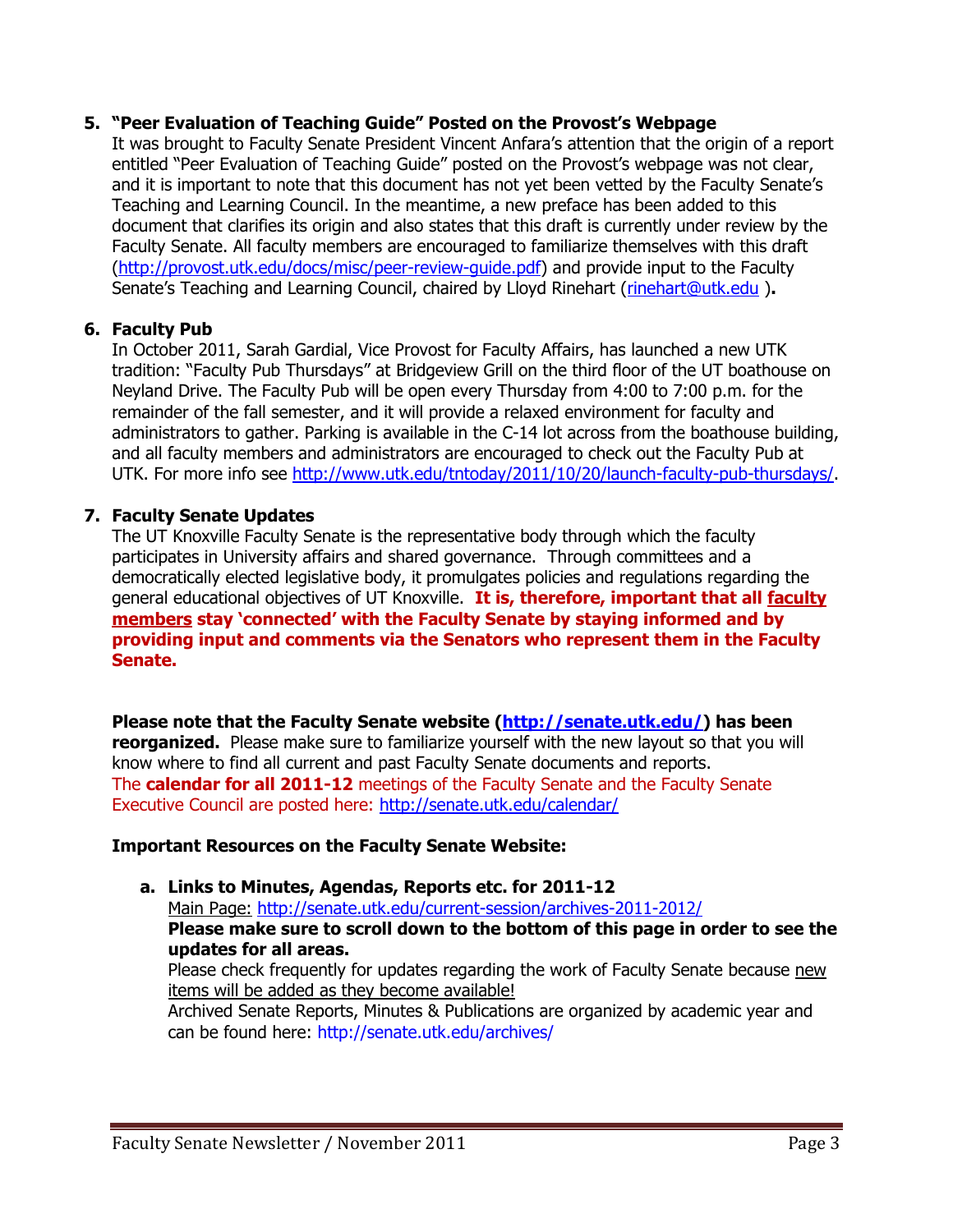#### **5. "Peer Evaluation of Teaching Guide" Posted on the Provost's Webpage**

It was brought to Faculty Senate President Vincent Anfara's attention that the origin of a report entitled "Peer Evaluation of Teaching Guide" posted on the Provost's webpage was not clear, and it is important to note that this document has not yet been vetted by the Faculty Senate's Teaching and Learning Council. In the meantime, a new preface has been added to this document that clarifies its origin and also states that this draft is currently under review by the Faculty Senate. All faculty members are encouraged to familiarize themselves with this draft [\(http://provost.utk.edu/docs/misc/peer-review-guide.pdf\)](http://provost.utk.edu/docs/misc/peer-review-guide.pdf) and provide input to the Faculty Senate's Teaching and Learning Council, chaired by Lloyd Rinehart ([rinehart@utk.edu](mailto:rinehart@utk.edu)).

#### **6. Faculty Pub**

In October 2011, Sarah Gardial, Vice Provost for Faculty Affairs, has launched a new UTK tradition: "Faculty Pub Thursdays" at Bridgeview Grill on the third floor of the UT boathouse on Neyland Drive. The Faculty Pub will be open every Thursday from 4:00 to 7:00 p.m. for the remainder of the fall semester, and it will provide a relaxed environment for faculty and administrators to gather. Parking is available in the C-14 lot across from the boathouse building, and all faculty members and administrators are encouraged to check out the Faculty Pub at UTK. For more info see [http://www.utk.edu/tntoday/2011/10/20/launch-faculty-pub-thursdays/.](http://www.utk.edu/tntoday/2011/10/20/launch-faculty-pub-thursdays/)

#### **7. Faculty Senate Updates**

The UT Knoxville Faculty Senate is the representative body through which the faculty participates in University affairs and shared governance. Through committees and a democratically elected legislative body, it promulgates policies and regulations regarding the general educational objectives of UT Knoxville. **It is, therefore, important that all faculty members stay 'connected' with the Faculty Senate by staying informed and by providing input and comments via the Senators who represent them in the Faculty Senate.**

**Please note that the Faculty Senate website [\(http://senate.utk.edu/\)](http://senate.utk.edu/) has been reorganized.** Please make sure to familiarize yourself with the new layout so that you will know where to find all current and past Faculty Senate documents and reports. The **calendar for all 2011-12** meetings of the Faculty Senate and the Faculty Senate Executive Council are posted here:<http://senate.utk.edu/calendar/>

#### **Important Resources on the Faculty Senate Website:**

**a. Links to Minutes, Agendas, Reports etc. for 2011-12** Main Page: <http://senate.utk.edu/current-session/archives-2011-2012/> **Please make sure to scroll down to the bottom of this page in order to see the updates for all areas.** Please check frequently for updates regarding the work of Faculty Senate because new items will be added as they become available! Archived Senate Reports, Minutes & Publications are organized by academic year and can be found here:<http://senate.utk.edu/archives/>